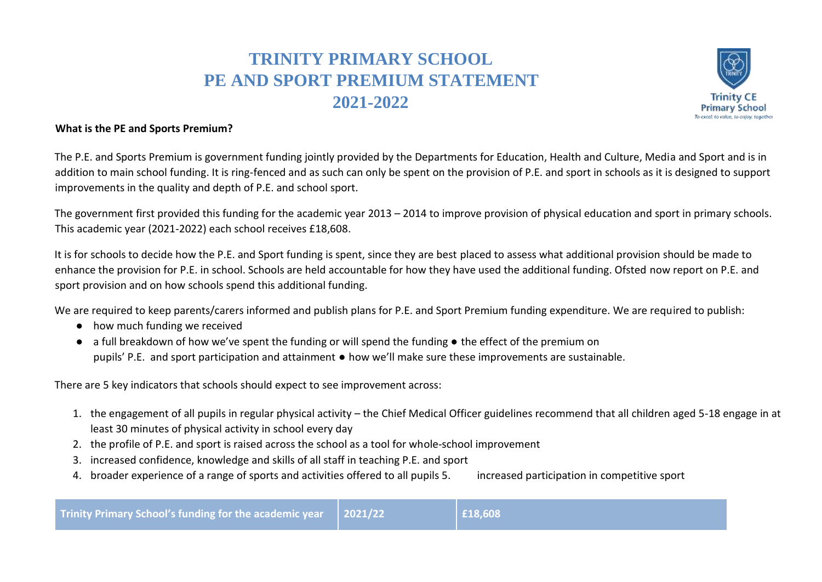## **TRINITY PRIMARY SCHOOL PE AND SPORT PREMIUM STATEMENT 2021-2022**



## **What is the PE and Sports Premium?**

The P.E. and Sports Premium is government funding jointly provided by the Departments for Education, Health and Culture, Media and Sport and is in addition to main school funding. It is ring-fenced and as such can only be spent on the provision of P.E. and sport in schools as it is designed to support improvements in the quality and depth of P.E. and school sport.

The government first provided this funding for the academic year 2013 – 2014 to improve provision of physical education and sport in primary schools. This academic year (2021-2022) each school receives £18,608.

It is for schools to decide how the P.E. and Sport funding is spent, since they are best placed to assess what additional provision should be made to enhance the provision for P.E. in school. Schools are held accountable for how they have used the additional funding. Ofsted now report on P.E. and sport provision and on how schools spend this additional funding.

We are required to keep parents/carers informed and publish plans for P.E. and Sport Premium funding expenditure. We are required to publish:

- **●** how much funding we received
- **●** a full breakdown of how we've spent the funding or will spend the funding the effect of the premium on pupils' P.E. and sport participation and attainment **●** how we'll make sure these improvements are sustainable.

There are 5 key indicators that schools should expect to see improvement across:

- 1. the engagement of all pupils in regular physical activity the Chief Medical Officer guidelines recommend that all children aged 5-18 engage in at least 30 minutes of physical activity in school every day
- 2. the profile of P.E. and sport is raised across the school as a tool for whole-school improvement
- 3. increased confidence, knowledge and skills of all staff in teaching P.E. and sport
- 4. broader experience of a range of sports and activities offered to all pupils 5. increased participation in competitive sport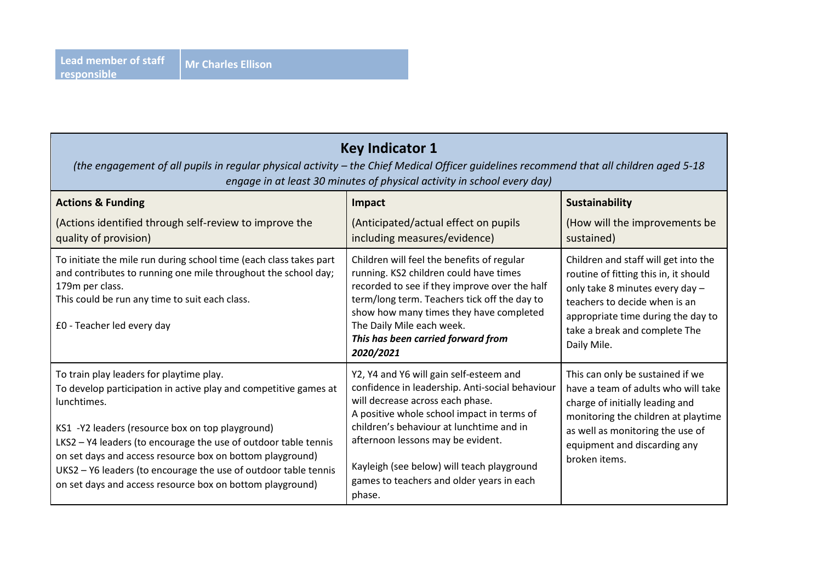| <b>Key Indicator 1</b><br>(the engagement of all pupils in regular physical activity - the Chief Medical Officer guidelines recommend that all children aged 5-18<br>engage in at least 30 minutes of physical activity in school every day)                                                                                                                                                                                                    |                                                                                                                                                                                                                                                                                                                                                                    |                                                                                                                                                                                                                                         |  |
|-------------------------------------------------------------------------------------------------------------------------------------------------------------------------------------------------------------------------------------------------------------------------------------------------------------------------------------------------------------------------------------------------------------------------------------------------|--------------------------------------------------------------------------------------------------------------------------------------------------------------------------------------------------------------------------------------------------------------------------------------------------------------------------------------------------------------------|-----------------------------------------------------------------------------------------------------------------------------------------------------------------------------------------------------------------------------------------|--|
| <b>Actions &amp; Funding</b><br>(Actions identified through self-review to improve the<br>quality of provision)                                                                                                                                                                                                                                                                                                                                 | Impact<br>(Anticipated/actual effect on pupils<br>including measures/evidence)                                                                                                                                                                                                                                                                                     | Sustainability<br>(How will the improvements be<br>sustained)                                                                                                                                                                           |  |
| To initiate the mile run during school time (each class takes part<br>and contributes to running one mile throughout the school day;<br>179m per class.<br>This could be run any time to suit each class.<br>£0 - Teacher led every day                                                                                                                                                                                                         | Children will feel the benefits of regular<br>running. KS2 children could have times<br>recorded to see if they improve over the half<br>term/long term. Teachers tick off the day to<br>show how many times they have completed<br>The Daily Mile each week.<br>This has been carried forward from<br>2020/2021                                                   | Children and staff will get into the<br>routine of fitting this in, it should<br>only take 8 minutes every day -<br>teachers to decide when is an<br>appropriate time during the day to<br>take a break and complete The<br>Daily Mile. |  |
| To train play leaders for playtime play.<br>To develop participation in active play and competitive games at<br>lunchtimes.<br>KS1 -Y2 leaders (resource box on top playground)<br>LKS2 - Y4 leaders (to encourage the use of outdoor table tennis<br>on set days and access resource box on bottom playground)<br>UKS2 - Y6 leaders (to encourage the use of outdoor table tennis<br>on set days and access resource box on bottom playground) | Y2, Y4 and Y6 will gain self-esteem and<br>confidence in leadership. Anti-social behaviour<br>will decrease across each phase.<br>A positive whole school impact in terms of<br>children's behaviour at lunchtime and in<br>afternoon lessons may be evident.<br>Kayleigh (see below) will teach playground<br>games to teachers and older years in each<br>phase. | This can only be sustained if we<br>have a team of adults who will take<br>charge of initially leading and<br>monitoring the children at playtime<br>as well as monitoring the use of<br>equipment and discarding any<br>broken items.  |  |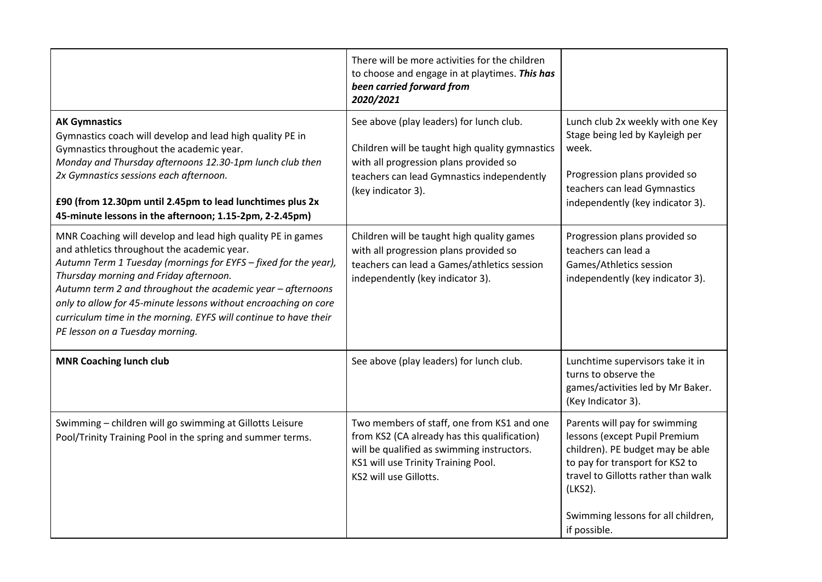|                                                                                                                                                                                                                                                                                                                                                                                                                                                                  | There will be more activities for the children<br>to choose and engage in at playtimes. This has<br>been carried forward from<br>2020/2021                                                                |                                                                                                                                                                                                                                               |
|------------------------------------------------------------------------------------------------------------------------------------------------------------------------------------------------------------------------------------------------------------------------------------------------------------------------------------------------------------------------------------------------------------------------------------------------------------------|-----------------------------------------------------------------------------------------------------------------------------------------------------------------------------------------------------------|-----------------------------------------------------------------------------------------------------------------------------------------------------------------------------------------------------------------------------------------------|
| <b>AK Gymnastics</b><br>Gymnastics coach will develop and lead high quality PE in<br>Gymnastics throughout the academic year.<br>Monday and Thursday afternoons 12.30-1pm lunch club then<br>2x Gymnastics sessions each afternoon.<br>£90 (from 12.30pm until 2.45pm to lead lunchtimes plus 2x<br>45-minute lessons in the afternoon; 1.15-2pm, 2-2.45pm)                                                                                                      | See above (play leaders) for lunch club.<br>Children will be taught high quality gymnastics<br>with all progression plans provided so<br>teachers can lead Gymnastics independently<br>(key indicator 3). | Lunch club 2x weekly with one Key<br>Stage being led by Kayleigh per<br>week.<br>Progression plans provided so<br>teachers can lead Gymnastics<br>independently (key indicator 3).                                                            |
| MNR Coaching will develop and lead high quality PE in games<br>and athletics throughout the academic year.<br>Autumn Term 1 Tuesday (mornings for EYFS - fixed for the year),<br>Thursday morning and Friday afternoon.<br>Autumn term 2 and throughout the academic year - afternoons<br>only to allow for 45-minute lessons without encroaching on core<br>curriculum time in the morning. EYFS will continue to have their<br>PE lesson on a Tuesday morning. | Children will be taught high quality games<br>with all progression plans provided so<br>teachers can lead a Games/athletics session<br>independently (key indicator 3).                                   | Progression plans provided so<br>teachers can lead a<br>Games/Athletics session<br>independently (key indicator 3).                                                                                                                           |
| <b>MNR Coaching lunch club</b>                                                                                                                                                                                                                                                                                                                                                                                                                                   | See above (play leaders) for lunch club.                                                                                                                                                                  | Lunchtime supervisors take it in<br>turns to observe the<br>games/activities led by Mr Baker.<br>(Key Indicator 3).                                                                                                                           |
| Swimming - children will go swimming at Gillotts Leisure<br>Pool/Trinity Training Pool in the spring and summer terms.                                                                                                                                                                                                                                                                                                                                           | Two members of staff, one from KS1 and one<br>from KS2 (CA already has this qualification)<br>will be qualified as swimming instructors.<br>KS1 will use Trinity Training Pool.<br>KS2 will use Gillotts. | Parents will pay for swimming<br>lessons (except Pupil Premium<br>children). PE budget may be able<br>to pay for transport for KS2 to<br>travel to Gillotts rather than walk<br>(LKS2).<br>Swimming lessons for all children,<br>if possible. |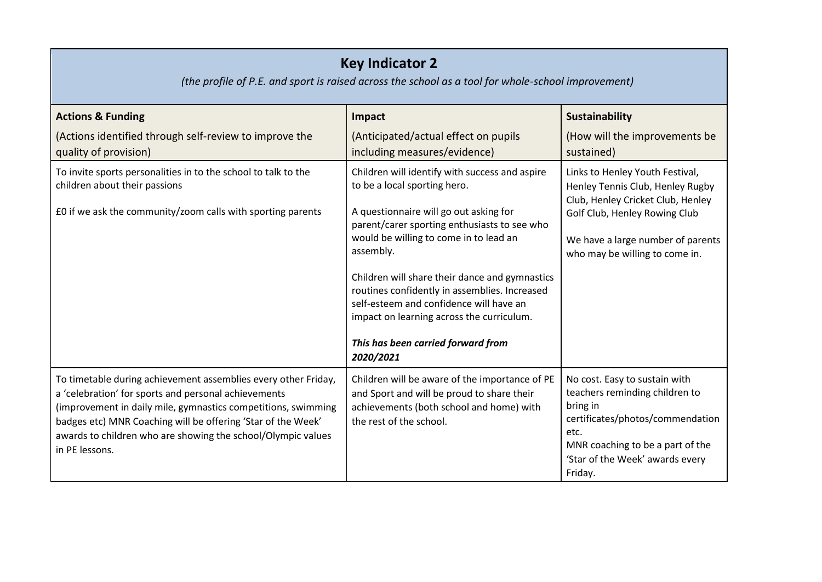| <b>Key Indicator 2</b><br>(the profile of P.E. and sport is raised across the school as a tool for whole-school improvement)                                                                                                                                                                                                              |                                                                                                                                                                                                                                                                                                                                                                                                                                                                               |                                                                                                                                                                                                                  |  |
|-------------------------------------------------------------------------------------------------------------------------------------------------------------------------------------------------------------------------------------------------------------------------------------------------------------------------------------------|-------------------------------------------------------------------------------------------------------------------------------------------------------------------------------------------------------------------------------------------------------------------------------------------------------------------------------------------------------------------------------------------------------------------------------------------------------------------------------|------------------------------------------------------------------------------------------------------------------------------------------------------------------------------------------------------------------|--|
| <b>Actions &amp; Funding</b>                                                                                                                                                                                                                                                                                                              | Impact                                                                                                                                                                                                                                                                                                                                                                                                                                                                        | Sustainability                                                                                                                                                                                                   |  |
| (Actions identified through self-review to improve the<br>quality of provision)                                                                                                                                                                                                                                                           | (Anticipated/actual effect on pupils<br>including measures/evidence)                                                                                                                                                                                                                                                                                                                                                                                                          | (How will the improvements be<br>sustained)                                                                                                                                                                      |  |
| To invite sports personalities in to the school to talk to the<br>children about their passions<br>£0 if we ask the community/zoom calls with sporting parents                                                                                                                                                                            | Children will identify with success and aspire<br>to be a local sporting hero.<br>A questionnaire will go out asking for<br>parent/carer sporting enthusiasts to see who<br>would be willing to come in to lead an<br>assembly.<br>Children will share their dance and gymnastics<br>routines confidently in assemblies. Increased<br>self-esteem and confidence will have an<br>impact on learning across the curriculum.<br>This has been carried forward from<br>2020/2021 | Links to Henley Youth Festival,<br>Henley Tennis Club, Henley Rugby<br>Club, Henley Cricket Club, Henley<br>Golf Club, Henley Rowing Club<br>We have a large number of parents<br>who may be willing to come in. |  |
| To timetable during achievement assemblies every other Friday,<br>a 'celebration' for sports and personal achievements<br>(improvement in daily mile, gymnastics competitions, swimming<br>badges etc) MNR Coaching will be offering 'Star of the Week'<br>awards to children who are showing the school/Olympic values<br>in PE lessons. | Children will be aware of the importance of PE<br>and Sport and will be proud to share their<br>achievements (both school and home) with<br>the rest of the school.                                                                                                                                                                                                                                                                                                           | No cost. Easy to sustain with<br>teachers reminding children to<br>bring in<br>certificates/photos/commendation<br>etc.<br>MNR coaching to be a part of the<br>'Star of the Week' awards every<br>Friday.        |  |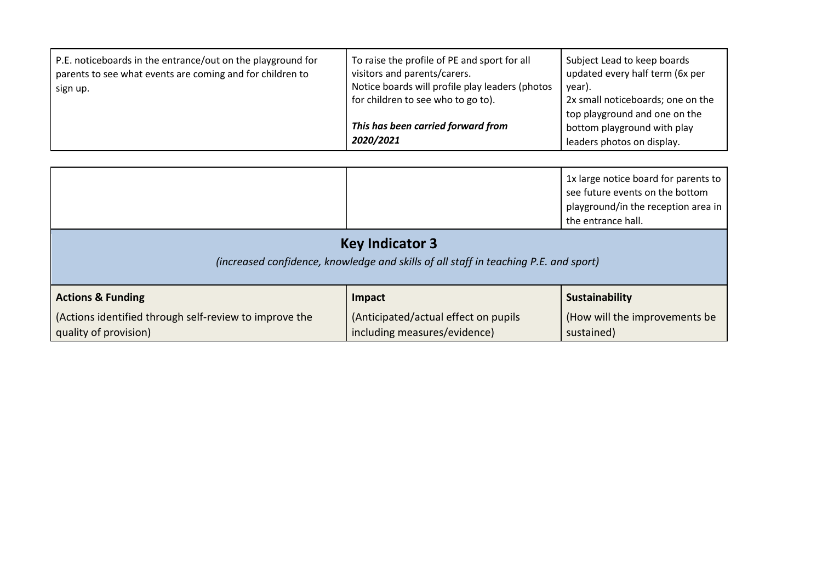| P.E. noticeboards in the entrance/out on the playground for<br>parents to see what events are coming and for children to<br>sign up. | To raise the profile of PE and sport for all<br>visitors and parents/carers.<br>Notice boards will profile play leaders (photos<br>for children to see who to go to). | Subject Lead to keep boards<br>updated every half term (6x per<br>year).<br>2x small noticeboards; one on the<br>top playground and one on the |
|--------------------------------------------------------------------------------------------------------------------------------------|-----------------------------------------------------------------------------------------------------------------------------------------------------------------------|------------------------------------------------------------------------------------------------------------------------------------------------|
|                                                                                                                                      | This has been carried forward from<br>2020/2021                                                                                                                       | bottom playground with play<br>leaders photos on display.                                                                                      |

|                                                                                                                |                                      | 1x large notice board for parents to<br>see future events on the bottom<br>playground/in the reception area in<br>the entrance hall. |
|----------------------------------------------------------------------------------------------------------------|--------------------------------------|--------------------------------------------------------------------------------------------------------------------------------------|
| <b>Key Indicator 3</b><br>(increased confidence, knowledge and skills of all staff in teaching P.E. and sport) |                                      |                                                                                                                                      |
| <b>Actions &amp; Funding</b>                                                                                   | Impact                               | <b>Sustainability</b>                                                                                                                |
| (Actions identified through self-review to improve the                                                         | (Anticipated/actual effect on pupils | (How will the improvements be                                                                                                        |

| ACUONS & FUNDING                                       | -impact                              | <b>Sustamabili</b> |
|--------------------------------------------------------|--------------------------------------|--------------------|
| (Actions identified through self-review to improve the | (Anticipated/actual effect on pupils | (How will th       |
| quality of provision)                                  | including measures/evidence)         | sustained)         |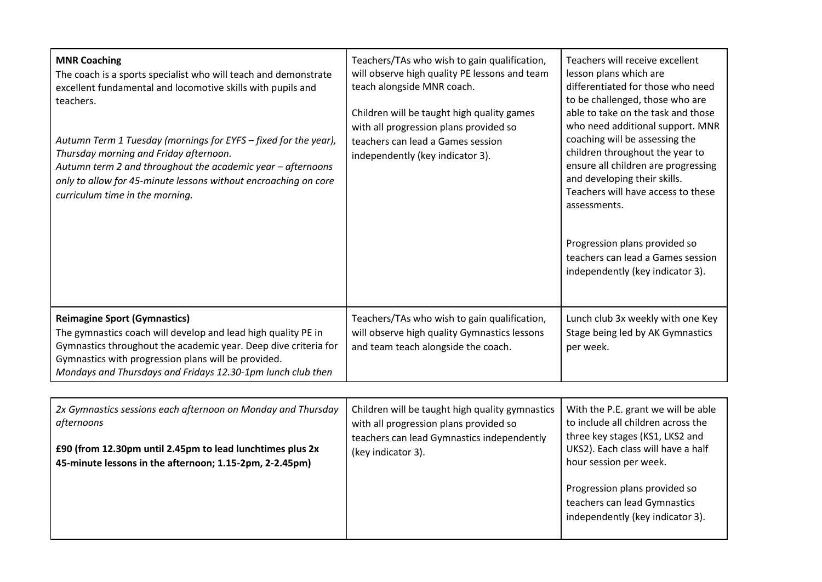| <b>MNR Coaching</b><br>The coach is a sports specialist who will teach and demonstrate<br>excellent fundamental and locomotive skills with pupils and<br>teachers.<br>Autumn Term 1 Tuesday (mornings for EYFS – fixed for the year),<br>Thursday morning and Friday afternoon.<br>Autumn term 2 and throughout the academic year - afternoons<br>only to allow for 45-minute lessons without encroaching on core<br>curriculum time in the morning. | Teachers/TAs who wish to gain qualification,<br>will observe high quality PE lessons and team<br>teach alongside MNR coach.<br>Children will be taught high quality games<br>with all progression plans provided so<br>teachers can lead a Games session<br>independently (key indicator 3). | Teachers will receive excellent<br>lesson plans which are<br>differentiated for those who need<br>to be challenged, those who are<br>able to take on the task and those<br>who need additional support. MNR<br>coaching will be assessing the<br>children throughout the year to<br>ensure all children are progressing<br>and developing their skills.<br>Teachers will have access to these<br>assessments.<br>Progression plans provided so<br>teachers can lead a Games session<br>independently (key indicator 3). |
|------------------------------------------------------------------------------------------------------------------------------------------------------------------------------------------------------------------------------------------------------------------------------------------------------------------------------------------------------------------------------------------------------------------------------------------------------|----------------------------------------------------------------------------------------------------------------------------------------------------------------------------------------------------------------------------------------------------------------------------------------------|-------------------------------------------------------------------------------------------------------------------------------------------------------------------------------------------------------------------------------------------------------------------------------------------------------------------------------------------------------------------------------------------------------------------------------------------------------------------------------------------------------------------------|
| <b>Reimagine Sport (Gymnastics)</b><br>The gymnastics coach will develop and lead high quality PE in<br>Gymnastics throughout the academic year. Deep dive criteria for<br>Gymnastics with progression plans will be provided.<br>Mondays and Thursdays and Fridays 12.30-1pm lunch club then                                                                                                                                                        | Teachers/TAs who wish to gain qualification,<br>will observe high quality Gymnastics lessons<br>and team teach alongside the coach.                                                                                                                                                          | Lunch club 3x weekly with one Key<br>Stage being led by AK Gymnastics<br>per week.                                                                                                                                                                                                                                                                                                                                                                                                                                      |
|                                                                                                                                                                                                                                                                                                                                                                                                                                                      |                                                                                                                                                                                                                                                                                              |                                                                                                                                                                                                                                                                                                                                                                                                                                                                                                                         |

| 2x Gymnastics sessions each afternoon on Monday and Thursday<br>afternoons<br>£90 (from 12.30pm until 2.45pm to lead lunchtimes plus 2x<br>45-minute lessons in the afternoon; 1.15-2pm, 2-2.45pm) | Children will be taught high quality gymnastics<br>with all progression plans provided so<br>teachers can lead Gymnastics independently<br>(key indicator 3). | With the P.E. grant we will be able<br>to include all children across the<br>three key stages (KS1, LKS2 and<br>UKS2). Each class will have a half<br>hour session per week. |
|----------------------------------------------------------------------------------------------------------------------------------------------------------------------------------------------------|---------------------------------------------------------------------------------------------------------------------------------------------------------------|------------------------------------------------------------------------------------------------------------------------------------------------------------------------------|
|                                                                                                                                                                                                    |                                                                                                                                                               | Progression plans provided so<br>teachers can lead Gymnastics<br>independently (key indicator 3).                                                                            |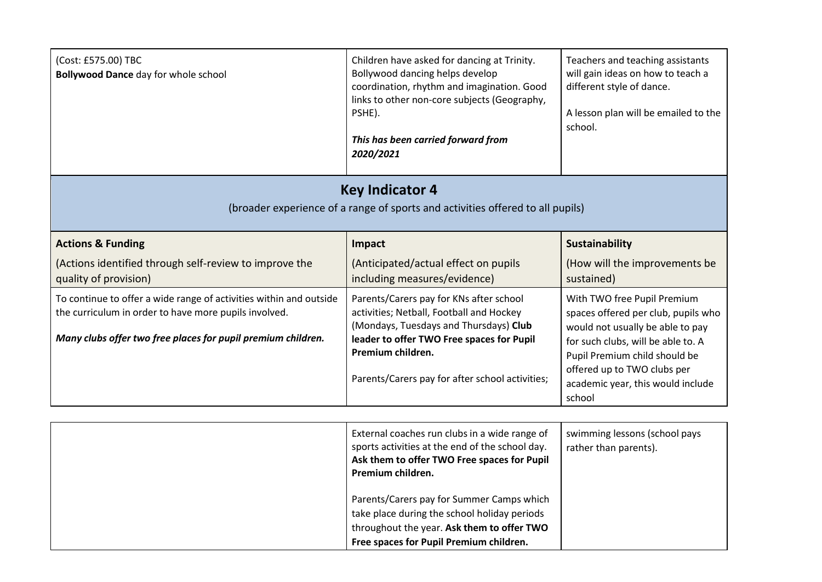| (Cost: £575.00) TBC<br><b>Bollywood Dance day for whole school</b>                                                                                                                          | Children have asked for dancing at Trinity.<br>Bollywood dancing helps develop<br>coordination, rhythm and imagination. Good<br>links to other non-core subjects (Geography,<br>PSHE).<br>This has been carried forward from<br>2020/2021          | Teachers and teaching assistants<br>will gain ideas on how to teach a<br>different style of dance.<br>A lesson plan will be emailed to the<br>school.                                                                                                       |
|---------------------------------------------------------------------------------------------------------------------------------------------------------------------------------------------|----------------------------------------------------------------------------------------------------------------------------------------------------------------------------------------------------------------------------------------------------|-------------------------------------------------------------------------------------------------------------------------------------------------------------------------------------------------------------------------------------------------------------|
| <b>Key Indicator 4</b><br>(broader experience of a range of sports and activities offered to all pupils)                                                                                    |                                                                                                                                                                                                                                                    |                                                                                                                                                                                                                                                             |
| <b>Actions &amp; Funding</b>                                                                                                                                                                | Impact                                                                                                                                                                                                                                             | <b>Sustainability</b>                                                                                                                                                                                                                                       |
| (Actions identified through self-review to improve the<br>quality of provision)                                                                                                             | (Anticipated/actual effect on pupils<br>including measures/evidence)                                                                                                                                                                               | (How will the improvements be<br>sustained)                                                                                                                                                                                                                 |
| To continue to offer a wide range of activities within and outside<br>the curriculum in order to have more pupils involved.<br>Many clubs offer two free places for pupil premium children. | Parents/Carers pay for KNs after school<br>activities; Netball, Football and Hockey<br>(Mondays, Tuesdays and Thursdays) Club<br>leader to offer TWO Free spaces for Pupil<br>Premium children.<br>Parents/Carers pay for after school activities; | With TWO free Pupil Premium<br>spaces offered per club, pupils who<br>would not usually be able to pay<br>for such clubs, will be able to. A<br>Pupil Premium child should be<br>offered up to TWO clubs per<br>academic year, this would include<br>school |

| External coaches run clubs in a wide range of<br>sports activities at the end of the school day.<br>Ask them to offer TWO Free spaces for Pupil<br>Premium children.               | swimming lessons (school pays<br>rather than parents). |
|------------------------------------------------------------------------------------------------------------------------------------------------------------------------------------|--------------------------------------------------------|
| Parents/Carers pay for Summer Camps which<br>take place during the school holiday periods<br>throughout the year. Ask them to offer TWO<br>Free spaces for Pupil Premium children. |                                                        |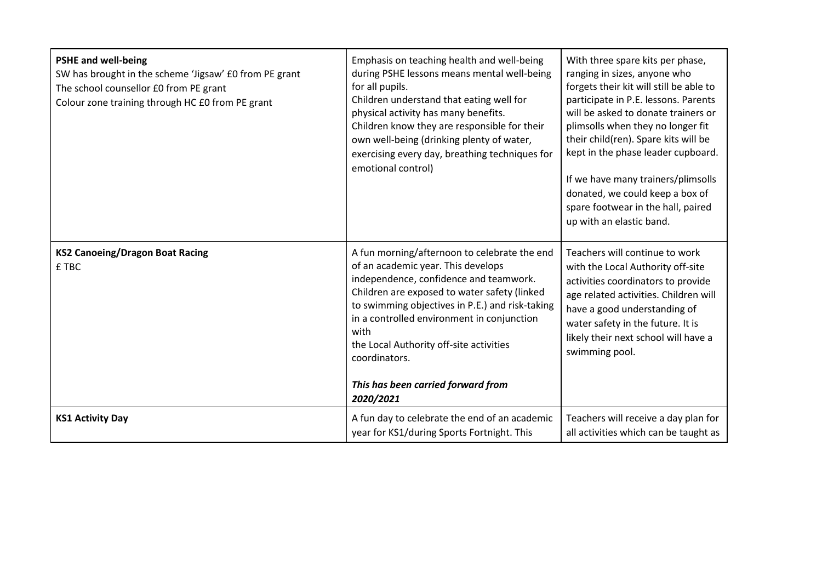| <b>PSHE and well-being</b><br>SW has brought in the scheme 'Jigsaw' £0 from PE grant<br>The school counsellor £0 from PE grant<br>Colour zone training through HC £0 from PE grant | Emphasis on teaching health and well-being<br>during PSHE lessons means mental well-being<br>for all pupils.<br>Children understand that eating well for<br>physical activity has many benefits.<br>Children know they are responsible for their<br>own well-being (drinking plenty of water,<br>exercising every day, breathing techniques for<br>emotional control)                                | With three spare kits per phase,<br>ranging in sizes, anyone who<br>forgets their kit will still be able to<br>participate in P.E. lessons. Parents<br>will be asked to donate trainers or<br>plimsolls when they no longer fit<br>their child(ren). Spare kits will be<br>kept in the phase leader cupboard.<br>If we have many trainers/plimsolls<br>donated, we could keep a box of<br>spare footwear in the hall, paired<br>up with an elastic band. |
|------------------------------------------------------------------------------------------------------------------------------------------------------------------------------------|------------------------------------------------------------------------------------------------------------------------------------------------------------------------------------------------------------------------------------------------------------------------------------------------------------------------------------------------------------------------------------------------------|----------------------------------------------------------------------------------------------------------------------------------------------------------------------------------------------------------------------------------------------------------------------------------------------------------------------------------------------------------------------------------------------------------------------------------------------------------|
| <b>KS2 Canoeing/Dragon Boat Racing</b><br>£ TBC                                                                                                                                    | A fun morning/afternoon to celebrate the end<br>of an academic year. This develops<br>independence, confidence and teamwork.<br>Children are exposed to water safety (linked<br>to swimming objectives in P.E.) and risk-taking<br>in a controlled environment in conjunction<br>with<br>the Local Authority off-site activities<br>coordinators.<br>This has been carried forward from<br>2020/2021 | Teachers will continue to work<br>with the Local Authority off-site<br>activities coordinators to provide<br>age related activities. Children will<br>have a good understanding of<br>water safety in the future. It is<br>likely their next school will have a<br>swimming pool.                                                                                                                                                                        |
| <b>KS1 Activity Day</b>                                                                                                                                                            | A fun day to celebrate the end of an academic<br>year for KS1/during Sports Fortnight. This                                                                                                                                                                                                                                                                                                          | Teachers will receive a day plan for<br>all activities which can be taught as                                                                                                                                                                                                                                                                                                                                                                            |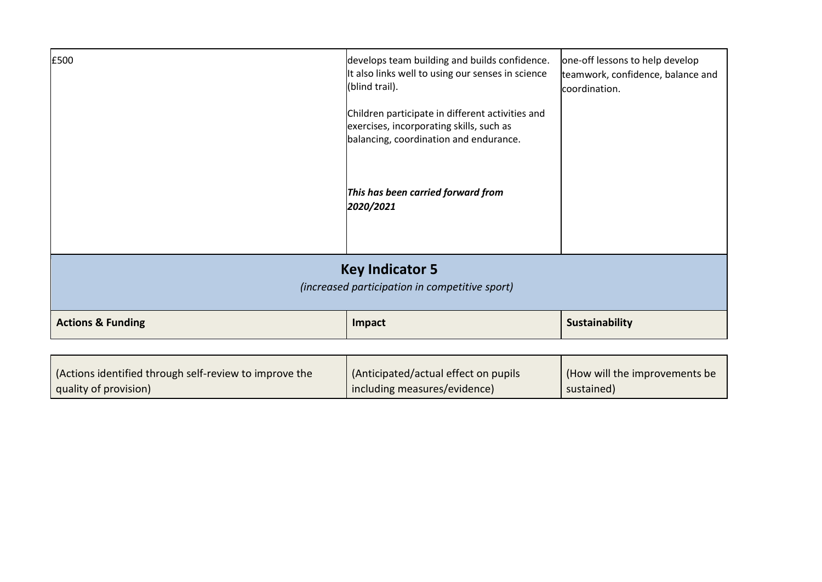| £500                                                                     | develops team building and builds confidence.<br>It also links well to using our senses in science<br>(blind trail).<br>Children participate in different activities and<br>exercises, incorporating skills, such as<br>balancing, coordination and endurance. | one-off lessons to help develop<br>teamwork, confidence, balance and<br>coordination. |
|--------------------------------------------------------------------------|----------------------------------------------------------------------------------------------------------------------------------------------------------------------------------------------------------------------------------------------------------------|---------------------------------------------------------------------------------------|
|                                                                          | This has been carried forward from<br>2020/2021                                                                                                                                                                                                                |                                                                                       |
| <b>Key Indicator 5</b><br>(increased participation in competitive sport) |                                                                                                                                                                                                                                                                |                                                                                       |
| <b>Actions &amp; Funding</b>                                             | Impact                                                                                                                                                                                                                                                         | <b>Sustainability</b>                                                                 |
|                                                                          |                                                                                                                                                                                                                                                                |                                                                                       |

| (Actions identified through self-review to improve the | (Anticipated/actual effect on pupils | (How will the improvements be |
|--------------------------------------------------------|--------------------------------------|-------------------------------|
| quality of provision)                                  | I including measures/evidence)       | sustained)                    |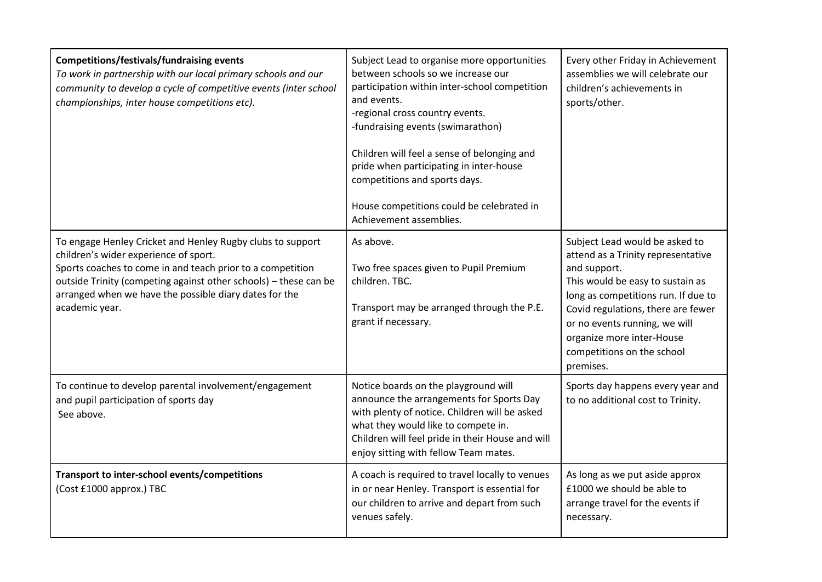| <b>Competitions/festivals/fundraising events</b><br>To work in partnership with our local primary schools and our<br>community to develop a cycle of competitive events (inter school<br>championships, inter house competitions etc).                                                                            | Subject Lead to organise more opportunities<br>between schools so we increase our<br>participation within inter-school competition<br>and events.<br>-regional cross country events.<br>-fundraising events (swimarathon)<br>Children will feel a sense of belonging and<br>pride when participating in inter-house<br>competitions and sports days.<br>House competitions could be celebrated in<br>Achievement assemblies. | Every other Friday in Achievement<br>assemblies we will celebrate our<br>children's achievements in<br>sports/other.                                                                                                                                                                                           |
|-------------------------------------------------------------------------------------------------------------------------------------------------------------------------------------------------------------------------------------------------------------------------------------------------------------------|------------------------------------------------------------------------------------------------------------------------------------------------------------------------------------------------------------------------------------------------------------------------------------------------------------------------------------------------------------------------------------------------------------------------------|----------------------------------------------------------------------------------------------------------------------------------------------------------------------------------------------------------------------------------------------------------------------------------------------------------------|
| To engage Henley Cricket and Henley Rugby clubs to support<br>children's wider experience of sport.<br>Sports coaches to come in and teach prior to a competition<br>outside Trinity (competing against other schools) - these can be<br>arranged when we have the possible diary dates for the<br>academic year. | As above.<br>Two free spaces given to Pupil Premium<br>children. TBC.<br>Transport may be arranged through the P.E.<br>grant if necessary.                                                                                                                                                                                                                                                                                   | Subject Lead would be asked to<br>attend as a Trinity representative<br>and support.<br>This would be easy to sustain as<br>long as competitions run. If due to<br>Covid regulations, there are fewer<br>or no events running, we will<br>organize more inter-House<br>competitions on the school<br>premises. |
| To continue to develop parental involvement/engagement<br>and pupil participation of sports day<br>See above.                                                                                                                                                                                                     | Notice boards on the playground will<br>announce the arrangements for Sports Day<br>with plenty of notice. Children will be asked<br>what they would like to compete in.<br>Children will feel pride in their House and will<br>enjoy sitting with fellow Team mates.                                                                                                                                                        | Sports day happens every year and<br>to no additional cost to Trinity.                                                                                                                                                                                                                                         |
| Transport to inter-school events/competitions<br>(Cost £1000 approx.) TBC                                                                                                                                                                                                                                         | A coach is required to travel locally to venues<br>in or near Henley. Transport is essential for<br>our children to arrive and depart from such<br>venues safely.                                                                                                                                                                                                                                                            | As long as we put aside approx<br>£1000 we should be able to<br>arrange travel for the events if<br>necessary.                                                                                                                                                                                                 |